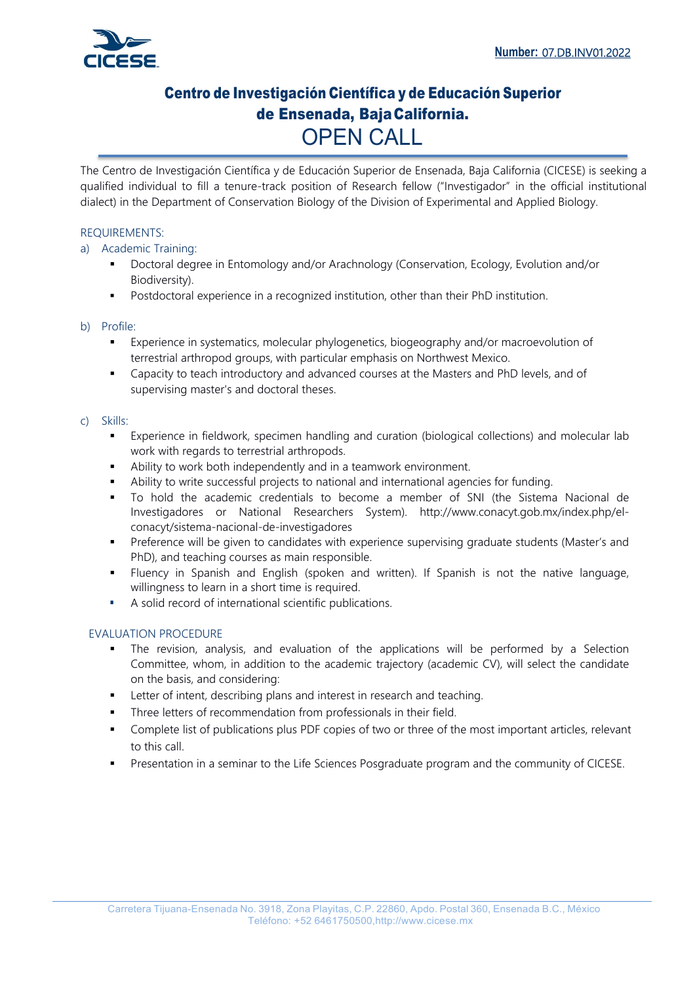

# Centro de Investigación Científica y de Educación Superior de Ensenada, Baja California. OPEN CALL

The Centro de Investigación Científica y de Educación Superior de Ensenada, Baja California (CICESE) is seeking a qualified individual to fill a tenure-track position of Research fellow ("Investigador" in the official institutional dialect) in the Department of Conservation Biology of the Division of Experimental and Applied Biology.

### REQUIREMENTS:

### a) Academic Training:

- Doctoral degree in Entomology and/or Arachnology (Conservation, Ecology, Evolution and/or Biodiversity).
- Postdoctoral experience in a recognized institution, other than their PhD institution.

### b) Profile:

- Experience in systematics, molecular phylogenetics, biogeography and/or macroevolution of terrestrial arthropod groups, with particular emphasis on Northwest Mexico.
- Capacity to teach introductory and advanced courses at the Masters and PhD levels, and of supervising master's and doctoral theses.

#### c) Skills:

- Experience in fieldwork, specimen handling and curation (biological collections) and molecular lab work with regards to terrestrial arthropods.
- Ability to work both independently and in a teamwork environment.
- Ability to write successful projects to national and international agencies for funding.
- To hold the academic credentials to become a member of SNI (the Sistema Nacional de Investigadores or National Researchers System). http://www.conacyt.gob.mx/index.php/elconacyt/sistema-nacional-de-investigadores
- Preference will be given to candidates with experience supervising graduate students (Master's and PhD), and teaching courses as main responsible.
- Fluency in Spanish and English (spoken and written). If Spanish is not the native language, willingness to learn in a short time is required.
- A solid record of international scientific publications.

### EVALUATION PROCEDURE

- The revision, analysis, and evaluation of the applications will be performed by a Selection Committee, whom, in addition to the academic trajectory (academic CV), will select the candidate on the basis, and considering:
- Letter of intent, describing plans and interest in research and teaching.
- Three letters of recommendation from professionals in their field.
- Complete list of publications plus PDF copies of two or three of the most important articles, relevant to this call.
- Presentation in a seminar to the Life Sciences Posgraduate program and the community of CICESE.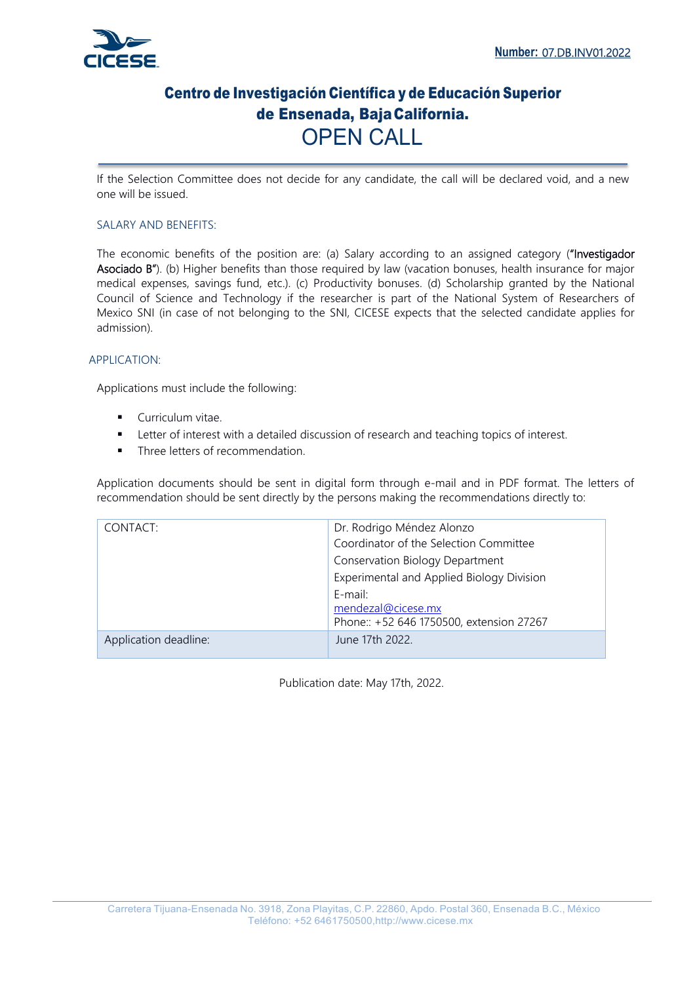

## Centro de Investigación Científica y de Educación Superior de Ensenada, Baja California. OPEN CALL

If the Selection Committee does not decide for any candidate, the call will be declared void, and a new one will be issued.

### SALARY AND BENEFITS:

The economic benefits of the position are: (a) Salary according to an assigned category ("Investigador Asociado B"). (b) Higher benefits than those required by law (vacation bonuses, health insurance for major medical expenses, savings fund, etc.). (c) Productivity bonuses. (d) Scholarship granted by the National Council of Science and Technology if the researcher is part of the National System of Researchers of Mexico SNI (in case of not belonging to the SNI, CICESE expects that the selected candidate applies for admission).

### APPLICATION:

Applications must include the following:

- **Curriculum vitae.**
- Letter of interest with a detailed discussion of research and teaching topics of interest.
- Three letters of recommendation.

Application documents should be sent in digital form through e-mail and in PDF format. The letters of recommendation should be sent directly by the persons making the recommendations directly to:

| CONTACT:              | Dr. Rodrigo Méndez Alonzo<br>Coordinator of the Selection Committee<br><b>Conservation Biology Department</b><br>Experimental and Applied Biology Division |
|-----------------------|------------------------------------------------------------------------------------------------------------------------------------------------------------|
|                       | $E$ -mail:<br>mendezal@cicese.mx<br>Phone:: +52 646 1750500, extension 27267                                                                               |
| Application deadline: | June 17th 2022.                                                                                                                                            |

Publication date: May 17th, 2022.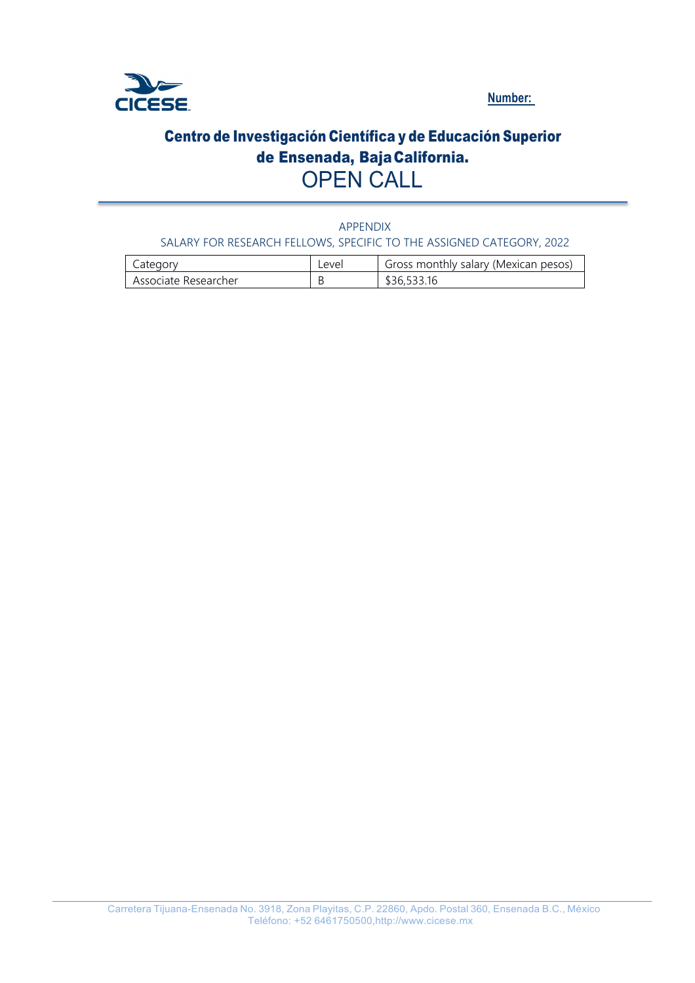

**Number:** 

# Centro de Investigación Científica y de Educación Superior de Ensenada, Baja California. OPEN CALL

APPENDIX SALARY FOR RESEARCH FELLOWS, SPECIFIC TO THE ASSIGNED CATEGORY, 2022

| Lategory             | <b>Level</b> | Gross monthly salary (Mexican pesos) |
|----------------------|--------------|--------------------------------------|
| Associate Researcher |              | \$36,533.16                          |